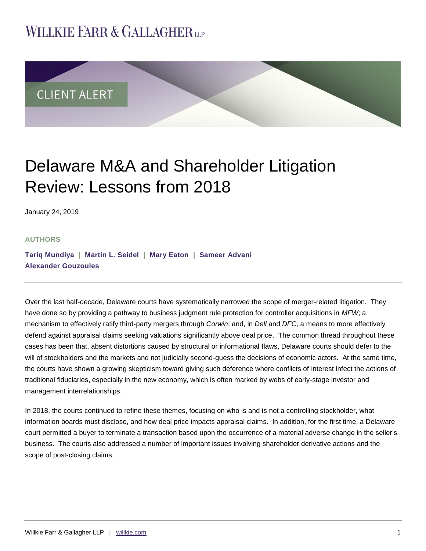# **WILLKIE FARR & GALLAGHERUP**



# Delaware M&A and Shareholder Litigation Review: Lessons from 2018

January 24, 2019

### **AUTHORS**

**[Tariq Mundiya](https://www.willkie.com/professionals/m/mundiya-tariq) | [Martin L. Seidel](https://www.willkie.com/professionals/s/seidel-martin) | [Mary Eaton](https://www.willkie.com/professionals/e/eaton-mary) | [Sameer Advani](https://www.willkie.com/professionals/a/advani-sameer) [Alexander Gouzoules](https://www.willkie.com/professionals/g/gouzoules-alexander)**

Over the last half-decade, Delaware courts have systematically narrowed the scope of merger-related litigation. They have done so by providing a pathway to business judgment rule protection for controller acquisitions in *MFW*; a mechanism to effectively ratify third-party mergers through *Corwin*; and, in *Dell* and *DFC*, a means to more effectively defend against appraisal claims seeking valuations significantly above deal price. The common thread throughout these cases has been that, absent distortions caused by structural or informational flaws, Delaware courts should defer to the will of stockholders and the markets and not judicially second-guess the decisions of economic actors. At the same time, the courts have shown a growing skepticism toward giving such deference where conflicts of interest infect the actions of traditional fiduciaries, especially in the new economy, which is often marked by webs of early-stage investor and management interrelationships.

In 2018, the courts continued to refine these themes, focusing on who is and is not a controlling stockholder, what information boards must disclose, and how deal price impacts appraisal claims. In addition, for the first time, a Delaware court permitted a buyer to terminate a transaction based upon the occurrence of a material adverse change in the seller's business. The courts also addressed a number of important issues involving shareholder derivative actions and the scope of post-closing claims.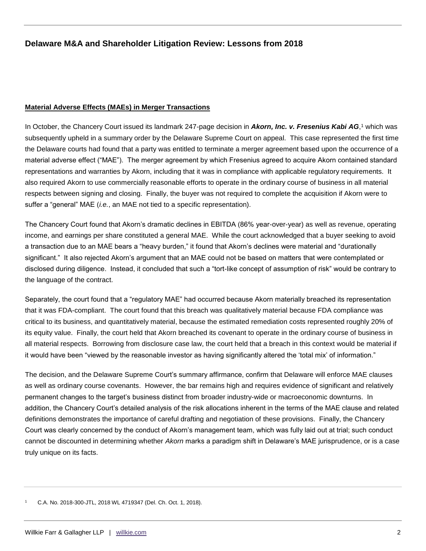### **Material Adverse Effects (MAEs) in Merger Transactions**

In October, the Chancery Court issued its landmark 247-page decision in *Akorn, Inc. v. Fresenius Kabi AG*,1 which was subsequently upheld in a summary order by the Delaware Supreme Court on appeal. This case represented the first time the Delaware courts had found that a party was entitled to terminate a merger agreement based upon the occurrence of a material adverse effect ("MAE"). The merger agreement by which Fresenius agreed to acquire Akorn contained standard representations and warranties by Akorn, including that it was in compliance with applicable regulatory requirements. It also required Akorn to use commercially reasonable efforts to operate in the ordinary course of business in all material respects between signing and closing. Finally, the buyer was not required to complete the acquisition if Akorn were to suffer a "general" MAE (*i.e.*, an MAE not tied to a specific representation).

The Chancery Court found that Akorn's dramatic declines in EBITDA (86% year-over-year) as well as revenue, operating income, and earnings per share constituted a general MAE. While the court acknowledged that a buyer seeking to avoid a transaction due to an MAE bears a "heavy burden," it found that Akorn's declines were material and "durationally significant." It also rejected Akorn's argument that an MAE could not be based on matters that were contemplated or disclosed during diligence. Instead, it concluded that such a "tort-like concept of assumption of risk" would be contrary to the language of the contract.

Separately, the court found that a "regulatory MAE" had occurred because Akorn materially breached its representation that it was FDA-compliant. The court found that this breach was qualitatively material because FDA compliance was critical to its business, and quantitatively material, because the estimated remediation costs represented roughly 20% of its equity value. Finally, the court held that Akorn breached its covenant to operate in the ordinary course of business in all material respects. Borrowing from disclosure case law, the court held that a breach in this context would be material if it would have been "viewed by the reasonable investor as having significantly altered the 'total mix' of information."

The decision, and the Delaware Supreme Court's summary affirmance, confirm that Delaware will enforce MAE clauses as well as ordinary course covenants. However, the bar remains high and requires evidence of significant and relatively permanent changes to the target's business distinct from broader industry-wide or macroeconomic downturns. In addition, the Chancery Court's detailed analysis of the risk allocations inherent in the terms of the MAE clause and related definitions demonstrates the importance of careful drafting and negotiation of these provisions. Finally, the Chancery Court was clearly concerned by the conduct of Akorn's management team, which was fully laid out at trial; such conduct cannot be discounted in determining whether *Akorn* marks a paradigm shift in Delaware's MAE jurisprudence, or is a case truly unique on its facts.

<sup>1</sup> C.A. No. 2018-300-JTL, 2018 WL 4719347 (Del. Ch. Oct. 1, 2018).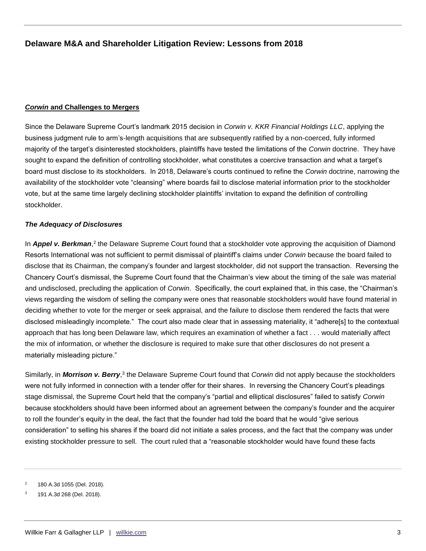## *Corwin* **and Challenges to Mergers**

Since the Delaware Supreme Court's landmark 2015 decision in *Corwin v. KKR Financial Holdings LLC*, applying the business judgment rule to arm's-length acquisitions that are subsequently ratified by a non-coerced, fully informed majority of the target's disinterested stockholders, plaintiffs have tested the limitations of the *Corwin* doctrine. They have sought to expand the definition of controlling stockholder, what constitutes a coercive transaction and what a target's board must disclose to its stockholders. In 2018, Delaware's courts continued to refine the *Corwin* doctrine, narrowing the availability of the stockholder vote "cleansing" where boards fail to disclose material information prior to the stockholder vote, but at the same time largely declining stockholder plaintiffs' invitation to expand the definition of controlling stockholder.

## *The Adequacy of Disclosures*

In Appel v. Berkman,<sup>2</sup> the Delaware Supreme Court found that a stockholder vote approving the acquisition of Diamond Resorts International was not sufficient to permit dismissal of plaintiff's claims under *Corwin* because the board failed to disclose that its Chairman, the company's founder and largest stockholder, did not support the transaction. Reversing the Chancery Court's dismissal, the Supreme Court found that the Chairman's view about the timing of the sale was material and undisclosed, precluding the application of *Corwin*. Specifically, the court explained that, in this case, the "Chairman's views regarding the wisdom of selling the company were ones that reasonable stockholders would have found material in deciding whether to vote for the merger or seek appraisal, and the failure to disclose them rendered the facts that were disclosed misleadingly incomplete." The court also made clear that in assessing materiality, it "adhere[s] to the contextual approach that has long been Delaware law, which requires an examination of whether a fact . . . would materially affect the mix of information, or whether the disclosure is required to make sure that other disclosures do not present a materially misleading picture."

Similarly, in *Morrison v. Berry*,<sup>3</sup> the Delaware Supreme Court found that *Corwin* did not apply because the stockholders were not fully informed in connection with a tender offer for their shares. In reversing the Chancery Court's pleadings stage dismissal, the Supreme Court held that the company's "partial and elliptical disclosures" failed to satisfy *Corwin* because stockholders should have been informed about an agreement between the company's founder and the acquirer to roll the founder's equity in the deal, the fact that the founder had told the board that he would "give serious consideration" to selling his shares if the board did not initiate a sales process, and the fact that the company was under existing stockholder pressure to sell. The court ruled that a "reasonable stockholder would have found these facts

<sup>2</sup> 180 A.3d 1055 (Del. 2018).

<sup>3</sup> 191 A.3d 268 (Del. 2018).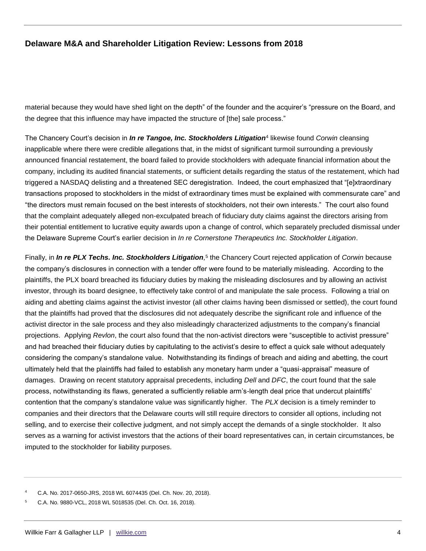material because they would have shed light on the depth" of the founder and the acquirer's "pressure on the Board, and the degree that this influence may have impacted the structure of [the] sale process."

The Chancery Court's decision in *In re Tangoe, Inc. Stockholders Litigation*<sup>4</sup> likewise found *Corwin* cleansing inapplicable where there were credible allegations that, in the midst of significant turmoil surrounding a previously announced financial restatement, the board failed to provide stockholders with adequate financial information about the company, including its audited financial statements, or sufficient details regarding the status of the restatement, which had triggered a NASDAQ delisting and a threatened SEC deregistration. Indeed, the court emphasized that "[e]xtraordinary transactions proposed to stockholders in the midst of extraordinary times must be explained with commensurate care" and "the directors must remain focused on the best interests of stockholders, not their own interests." The court also found that the complaint adequately alleged non-exculpated breach of fiduciary duty claims against the directors arising from their potential entitlement to lucrative equity awards upon a change of control, which separately precluded dismissal under the Delaware Supreme Court's earlier decision in *In re Cornerstone Therapeutics Inc. Stockholder Litigation*.

Finally, in *In re PLX Techs. Inc. Stockholders Litigation*,<sup>5</sup> the Chancery Court rejected application of *Corwin* because the company's disclosures in connection with a tender offer were found to be materially misleading. According to the plaintiffs, the PLX board breached its fiduciary duties by making the misleading disclosures and by allowing an activist investor, through its board designee, to effectively take control of and manipulate the sale process. Following a trial on aiding and abetting claims against the activist investor (all other claims having been dismissed or settled), the court found that the plaintiffs had proved that the disclosures did not adequately describe the significant role and influence of the activist director in the sale process and they also misleadingly characterized adjustments to the company's financial projections. Applying *Revlon*, the court also found that the non-activist directors were "susceptible to activist pressure" and had breached their fiduciary duties by capitulating to the activist's desire to effect a quick sale without adequately considering the company's standalone value. Notwithstanding its findings of breach and aiding and abetting, the court ultimately held that the plaintiffs had failed to establish any monetary harm under a "quasi-appraisal" measure of damages. Drawing on recent statutory appraisal precedents, including *Dell* and *DFC*, the court found that the sale process, notwithstanding its flaws, generated a sufficiently reliable arm's-length deal price that undercut plaintiffs' contention that the company's standalone value was significantly higher. The *PLX* decision is a timely reminder to companies and their directors that the Delaware courts will still require directors to consider all options, including not selling, and to exercise their collective judgment, and not simply accept the demands of a single stockholder. It also serves as a warning for activist investors that the actions of their board representatives can, in certain circumstances, be imputed to the stockholder for liability purposes.

<sup>4</sup> C.A. No. 2017-0650-JRS, 2018 WL 6074435 (Del. Ch. Nov. 20, 2018).

<sup>5</sup> C.A. No. 9880-VCL, 2018 WL 5018535 (Del. Ch. Oct. 16, 2018).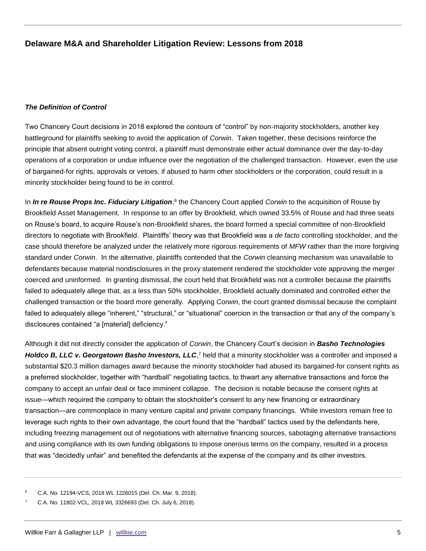### *The Definition of Control*

Two Chancery Court decisions in 2018 explored the contours of "control" by non-majority stockholders, another key battleground for plaintiffs seeking to avoid the application of *Corwin*. Taken together, these decisions reinforce the principle that absent outright voting control, a plaintiff must demonstrate either actual dominance over the day-to-day operations of a corporation or undue influence over the negotiation of the challenged transaction. However, even the use of bargained-for rights, approvals or vetoes, if abused to harm other stockholders or the corporation, could result in a minority stockholder being found to be in control.

In *In re Rouse Props Inc. Fiduciary Litigation*,<sup>6</sup> the Chancery Court applied *Corwin* to the acquisition of Rouse by Brookfield Asset Management. In response to an offer by Brookfield, which owned 33.5% of Rouse and had three seats on Rouse's board, to acquire Rouse's non-Brookfield shares, the board formed a special committee of non-Brookfield directors to negotiate with Brookfield. Plaintiffs' theory was that Brookfield was a *de facto* controlling stockholder, and the case should therefore be analyzed under the relatively more rigorous requirements of *MFW* rather than the more forgiving standard under *Corwin*. In the alternative, plaintiffs contended that the *Corwin* cleansing mechanism was unavailable to defendants because material nondisclosures in the proxy statement rendered the stockholder vote approving the merger coerced and uninformed. In granting dismissal, the court held that Brookfield was not a controller because the plaintiffs failed to adequately allege that, as a less than 50% stockholder, Brookfield actually dominated and controlled either the challenged transaction or the board more generally. Applying *Corwin*, the court granted dismissal because the complaint failed to adequately allege "inherent," "structural," or "situational" coercion in the transaction or that any of the company's disclosures contained "a [material] deficiency."

Although it did not directly consider the application of *Corwin*, the Chancery Court's decision in *Basho Technologies*  Holdco B, LLC v. Georgetown Basho Investors, LLC,<sup>7</sup> held that a minority stockholder was a controller and imposed a substantial \$20.3 million damages award because the minority stockholder had abused its bargained-for consent rights as a preferred stockholder, together with "hardball" negotiating tactics, to thwart any alternative transactions and force the company to accept an unfair deal or face imminent collapse. The decision is notable because the consent rights at issue—which required the company to obtain the stockholder's consent to any new financing or extraordinary transaction—are commonplace in many venture capital and private company financings. While investors remain free to leverage such rights to their own advantage, the court found that the "hardball" tactics used by the defendants here, including freezing management out of negotiations with alternative financing sources, sabotaging alternative transactions and using compliance with its own funding obligations to impose onerous terms on the company, resulted in a process that was "decidedly unfair" and benefited the defendants at the expense of the company and its other investors.

<sup>6</sup> C.A. No. 12194-VCS, 2018 WL 1226015 (Del. Ch. Mar. 9, 2018).

<sup>7</sup> C.A. No. 11802-VCL, 2018 WL 3326693 (Del. Ch. July 6, 2018).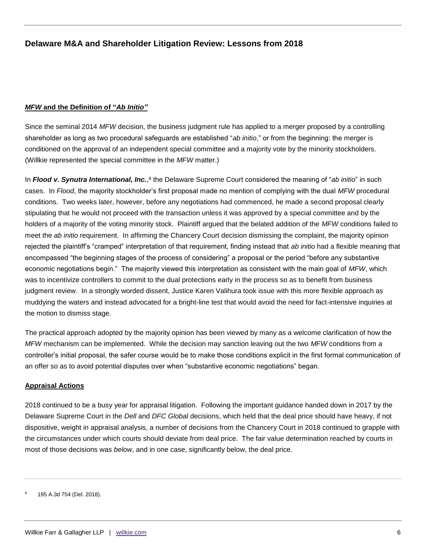## *MFW* **and the Definition of "***Ab Initio"*

Since the seminal 2014 *MFW* decision, the business judgment rule has applied to a merger proposed by a controlling shareholder as long as two procedural safeguards are established "*ab initio*," or from the beginning: the merger is conditioned on the approval of an independent special committee and a majority vote by the minority stockholders. (Willkie represented the special committee in the *MFW* matter.)

In *Flood v. Synutra International, Inc.*,<sup>8</sup> the Delaware Supreme Court considered the meaning of "*ab initio*" in such cases. In *Flood*, the majority stockholder's first proposal made no mention of complying with the dual *MFW* procedural conditions. Two weeks later, however, before any negotiations had commenced, he made a second proposal clearly stipulating that he would not proceed with the transaction unless it was approved by a special committee and by the holders of a majority of the voting minority stock. Plaintiff argued that the belated addition of the *MFW* conditions failed to meet the *ab initio* requirement. In affirming the Chancery Court decision dismissing the complaint, the majority opinion rejected the plaintiff's "cramped" interpretation of that requirement, finding instead that *ab initio* had a flexible meaning that encompassed "the beginning stages of the process of considering" a proposal or the period "before any substantive economic negotiations begin." The majority viewed this interpretation as consistent with the main goal of *MFW*, which was to incentivize controllers to commit to the dual protections early in the process so as to benefit from business judgment review. In a strongly worded dissent, Justice Karen Valihura took issue with this more flexible approach as muddying the waters and instead advocated for a bright-line test that would avoid the need for fact-intensive inquiries at the motion to dismiss stage.

The practical approach adopted by the majority opinion has been viewed by many as a welcome clarification of how the *MFW* mechanism can be implemented. While the decision may sanction leaving out the two *MFW* conditions from a controller's initial proposal, the safer course would be to make those conditions explicit in the first formal communication of an offer so as to avoid potential disputes over when "substantive economic negotiations" began.

## **Appraisal Actions**

2018 continued to be a busy year for appraisal litigation. Following the important guidance handed down in 2017 by the Delaware Supreme Court in the *Dell* and *DFC Global* decisions, which held that the deal price should have heavy, if not dispositive, weight in appraisal analysis, a number of decisions from the Chancery Court in 2018 continued to grapple with the circumstances under which courts should deviate from deal price. The fair value determination reached by courts in most of those decisions was *below*, and in one case, significantly below, the deal price.

<sup>195</sup> A.3d 754 (Del. 2018).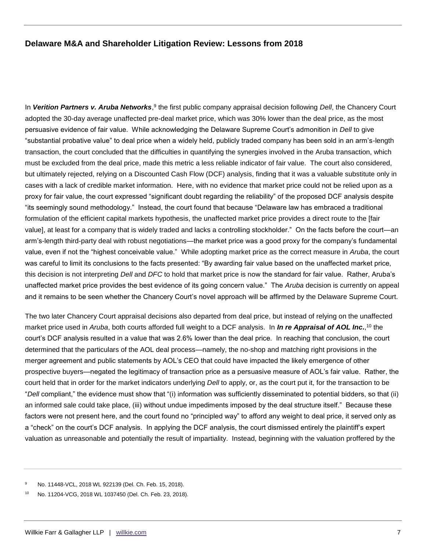In Verition Partners v. Aruba Networks,<sup>9</sup> the first public company appraisal decision following *Dell*, the Chancery Court adopted the 30-day average unaffected pre-deal market price, which was 30% lower than the deal price, as the most persuasive evidence of fair value. While acknowledging the Delaware Supreme Court's admonition in *Dell* to give "substantial probative value" to deal price when a widely held, publicly traded company has been sold in an arm's-length transaction, the court concluded that the difficulties in quantifying the synergies involved in the Aruba transaction, which must be excluded from the deal price, made this metric a less reliable indicator of fair value. The court also considered, but ultimately rejected, relying on a Discounted Cash Flow (DCF) analysis, finding that it was a valuable substitute only in cases with a lack of credible market information. Here, with no evidence that market price could not be relied upon as a proxy for fair value, the court expressed "significant doubt regarding the reliability" of the proposed DCF analysis despite "its seemingly sound methodology." Instead, the court found that because "Delaware law has embraced a traditional formulation of the efficient capital markets hypothesis, the unaffected market price provides a direct route to the [fair value], at least for a company that is widely traded and lacks a controlling stockholder." On the facts before the court—an arm's-length third-party deal with robust negotiations—the market price was a good proxy for the company's fundamental value, even if not the "highest conceivable value." While adopting market price as the correct measure in *Aruba*, the court was careful to limit its conclusions to the facts presented: "By awarding fair value based on the unaffected market price, this decision is not interpreting *Dell* and *DFC* to hold that market price is now the standard for fair value. Rather, Aruba's unaffected market price provides the best evidence of its going concern value." The *Aruba* decision is currently on appeal and it remains to be seen whether the Chancery Court's novel approach will be affirmed by the Delaware Supreme Court.

The two later Chancery Court appraisal decisions also departed from deal price, but instead of relying on the unaffected market price used in *Aruba*, both courts afforded full weight to a DCF analysis. In *In re Appraisal of AOL Inc***.**, <sup>10</sup> the court's DCF analysis resulted in a value that was 2.6% lower than the deal price. In reaching that conclusion, the court determined that the particulars of the AOL deal process—namely, the no-shop and matching right provisions in the merger agreement and public statements by AOL's CEO that could have impacted the likely emergence of other prospective buyers—negated the legitimacy of transaction price as a persuasive measure of AOL's fair value. Rather, the court held that in order for the market indicators underlying *Dell* to apply, or, as the court put it, for the transaction to be "*Dell* compliant," the evidence must show that "(i) information was sufficiently disseminated to potential bidders, so that (ii) an informed sale could take place, (iii) without undue impediments imposed by the deal structure itself." Because these factors were not present here, and the court found no "principled way" to afford any weight to deal price, it served only as a "check" on the court's DCF analysis. In applying the DCF analysis, the court dismissed entirely the plaintiff's expert valuation as unreasonable and potentially the result of impartiality. Instead, beginning with the valuation proffered by the

<sup>9</sup> No. 11448-VCL, 2018 WL 922139 (Del. Ch. Feb. 15, 2018).

<sup>10</sup> No. 11204-VCG, 2018 WL 1037450 (Del. Ch. Feb. 23, 2018).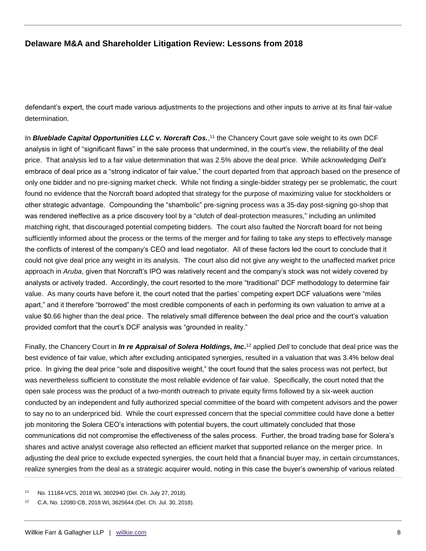defendant's expert, the court made various adjustments to the projections and other inputs to arrive at its final fair-value determination.

In *Blueblade Capital Opportunities LLC v. Norcraft Cos.*,<sup>11</sup> the Chancery Court gave sole weight to its own DCF analysis in light of "significant flaws" in the sale process that undermined, in the court's view, the reliability of the deal price. That analysis led to a fair value determination that was 2.5% above the deal price. While acknowledging *Dell's*  embrace of deal price as a "strong indicator of fair value," the court departed from that approach based on the presence of only one bidder and no pre-signing market check. While not finding a single-bidder strategy per se problematic, the court found no evidence that the Norcraft board adopted that strategy for the purpose of maximizing value for stockholders or other strategic advantage. Compounding the "shambolic" pre-signing process was a 35-day post-signing go-shop that was rendered ineffective as a price discovery tool by a "clutch of deal-protection measures," including an unlimited matching right, that discouraged potential competing bidders. The court also faulted the Norcraft board for not being sufficiently informed about the process or the terms of the merger and for failing to take any steps to effectively manage the conflicts of interest of the company's CEO and lead negotiator. All of these factors led the court to conclude that it could not give deal price any weight in its analysis. The court also did not give any weight to the unaffected market price approach in *Aruba*, given that Norcraft's IPO was relatively recent and the company's stock was not widely covered by analysts or actively traded. Accordingly, the court resorted to the more "traditional" DCF methodology to determine fair value. As many courts have before it, the court noted that the parties' competing expert DCF valuations were "miles apart," and it therefore "borrowed" the most credible components of each in performing its own valuation to arrive at a value \$0.66 higher than the deal price. The relatively small difference between the deal price and the court's valuation provided comfort that the court's DCF analysis was "grounded in reality."

Finally, the Chancery Court in *In re Appraisal of Solera Holdings, Inc***.** <sup>12</sup> applied *Dell* to conclude that deal price was the best evidence of fair value, which after excluding anticipated synergies, resulted in a valuation that was 3.4% below deal price. In giving the deal price "sole and dispositive weight," the court found that the sales process was not perfect, but was nevertheless sufficient to constitute the most reliable evidence of fair value. Specifically, the court noted that the open sale process was the product of a two-month outreach to private equity firms followed by a six-week auction conducted by an independent and fully authorized special committee of the board with competent advisors and the power to say no to an underpriced bid. While the court expressed concern that the special committee could have done a better job monitoring the Solera CEO's interactions with potential buyers, the court ultimately concluded that those communications did not compromise the effectiveness of the sales process. Further, the broad trading base for Solera's shares and active analyst coverage also reflected an efficient market that supported reliance on the merger price. In adjusting the deal price to exclude expected synergies, the court held that a financial buyer may, in certain circumstances, realize synergies from the deal as a strategic acquirer would, noting in this case the buyer's ownership of various related

<sup>11</sup> No. 11184-VCS, 2018 WL 3602940 (Del. Ch. July 27, 2018).

<sup>12</sup> C.A. No. 12080-CB, 2018 WL 3625644 (Del. Ch. Jul. 30, 2018).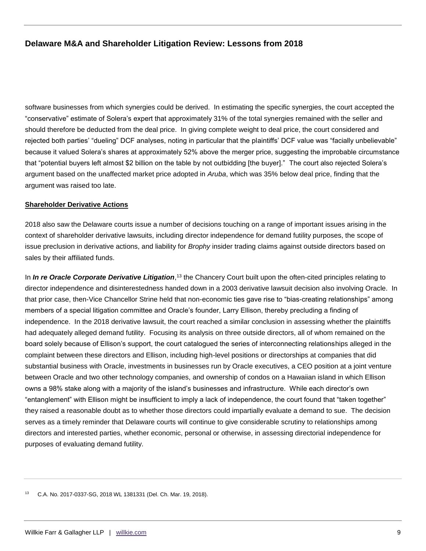software businesses from which synergies could be derived. In estimating the specific synergies, the court accepted the "conservative" estimate of Solera's expert that approximately 31% of the total synergies remained with the seller and should therefore be deducted from the deal price. In giving complete weight to deal price, the court considered and rejected both parties' "dueling" DCF analyses, noting in particular that the plaintiffs' DCF value was "facially unbelievable" because it valued Solera's shares at approximately 52% above the merger price, suggesting the improbable circumstance that "potential buyers left almost \$2 billion on the table by not outbidding [the buyer]." The court also rejected Solera's argument based on the unaffected market price adopted in *Aruba*, which was 35% below deal price, finding that the argument was raised too late.

#### **Shareholder Derivative Actions**

2018 also saw the Delaware courts issue a number of decisions touching on a range of important issues arising in the context of shareholder derivative lawsuits, including director independence for demand futility purposes, the scope of issue preclusion in derivative actions, and liability for *Brophy* insider trading claims against outside directors based on sales by their affiliated funds.

In *In re Oracle Corporate Derivative Litigation*,<sup>13</sup> the Chancery Court built upon the often-cited principles relating to director independence and disinterestedness handed down in a 2003 derivative lawsuit decision also involving Oracle. In that prior case, then-Vice Chancellor Strine held that non-economic ties gave rise to "bias-creating relationships" among members of a special litigation committee and Oracle's founder, Larry Ellison, thereby precluding a finding of independence. In the 2018 derivative lawsuit, the court reached a similar conclusion in assessing whether the plaintiffs had adequately alleged demand futility. Focusing its analysis on three outside directors, all of whom remained on the board solely because of Ellison's support, the court catalogued the series of interconnecting relationships alleged in the complaint between these directors and Ellison, including high-level positions or directorships at companies that did substantial business with Oracle, investments in businesses run by Oracle executives, a CEO position at a joint venture between Oracle and two other technology companies, and ownership of condos on a Hawaiian island in which Ellison owns a 98% stake along with a majority of the island's businesses and infrastructure. While each director's own "entanglement" with Ellison might be insufficient to imply a lack of independence, the court found that "taken together" they raised a reasonable doubt as to whether those directors could impartially evaluate a demand to sue. The decision serves as a timely reminder that Delaware courts will continue to give considerable scrutiny to relationships among directors and interested parties, whether economic, personal or otherwise, in assessing directorial independence for purposes of evaluating demand futility.

<sup>13</sup> C.A. No. 2017-0337-SG, 2018 WL 1381331 (Del. Ch. Mar. 19, 2018).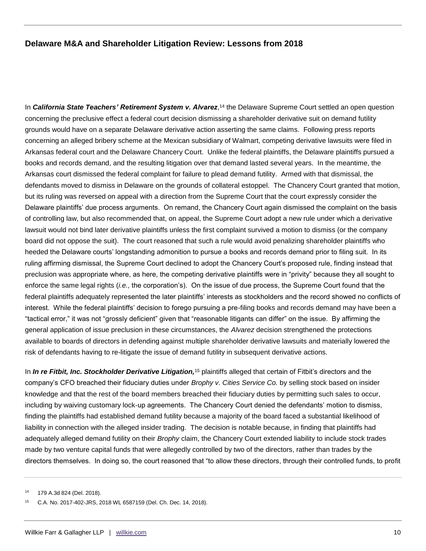In **California State Teachers' Retirement System v. Alvarez**,<sup>14</sup> the Delaware Supreme Court settled an open question concerning the preclusive effect a federal court decision dismissing a shareholder derivative suit on demand futility grounds would have on a separate Delaware derivative action asserting the same claims. Following press reports concerning an alleged bribery scheme at the Mexican subsidiary of Walmart, competing derivative lawsuits were filed in Arkansas federal court and the Delaware Chancery Court. Unlike the federal plaintiffs, the Delaware plaintiffs pursued a books and records demand, and the resulting litigation over that demand lasted several years. In the meantime, the Arkansas court dismissed the federal complaint for failure to plead demand futility. Armed with that dismissal, the defendants moved to dismiss in Delaware on the grounds of collateral estoppel. The Chancery Court granted that motion, but its ruling was reversed on appeal with a direction from the Supreme Court that the court expressly consider the Delaware plaintiffs' due process arguments. On remand, the Chancery Court again dismissed the complaint on the basis of controlling law, but also recommended that, on appeal, the Supreme Court adopt a new rule under which a derivative lawsuit would not bind later derivative plaintiffs unless the first complaint survived a motion to dismiss (or the company board did not oppose the suit). The court reasoned that such a rule would avoid penalizing shareholder plaintiffs who heeded the Delaware courts' longstanding admonition to pursue a books and records demand prior to filing suit. In its ruling affirming dismissal, the Supreme Court declined to adopt the Chancery Court's proposed rule, finding instead that preclusion was appropriate where, as here, the competing derivative plaintiffs were in "privity" because they all sought to enforce the same legal rights (*i.e.*, the corporation's). On the issue of due process, the Supreme Court found that the federal plaintiffs adequately represented the later plaintiffs' interests as stockholders and the record showed no conflicts of interest. While the federal plaintiffs' decision to forego pursuing a pre-filing books and records demand may have been a "tactical error," it was not "grossly deficient" given that "reasonable litigants can differ" on the issue. By affirming the general application of issue preclusion in these circumstances, the *Alvarez* decision strengthened the protections available to boards of directors in defending against multiple shareholder derivative lawsuits and materially lowered the risk of defendants having to re-litigate the issue of demand futility in subsequent derivative actions.

In *In re Fitbit, Inc. Stockholder Derivative Litigation,*<sup>15</sup> plaintiffs alleged that certain of Fitbit's directors and the company's CFO breached their fiduciary duties under *Brophy v. Cities Service Co.* by selling stock based on insider knowledge and that the rest of the board members breached their fiduciary duties by permitting such sales to occur, including by waiving customary lock-up agreements. The Chancery Court denied the defendants' motion to dismiss, finding the plaintiffs had established demand futility because a majority of the board faced a substantial likelihood of liability in connection with the alleged insider trading. The decision is notable because, in finding that plaintiffs had adequately alleged demand futility on their *Brophy* claim, the Chancery Court extended liability to include stock trades made by two venture capital funds that were allegedly controlled by two of the directors, rather than trades by the directors themselves. In doing so, the court reasoned that "to allow these directors, through their controlled funds, to profit

<sup>14</sup> 179 A.3d 824 (Del. 2018).

<sup>15</sup> C.A. No. 2017-402-JRS, 2018 WL 6587159 (Del. Ch. Dec. 14, 2018).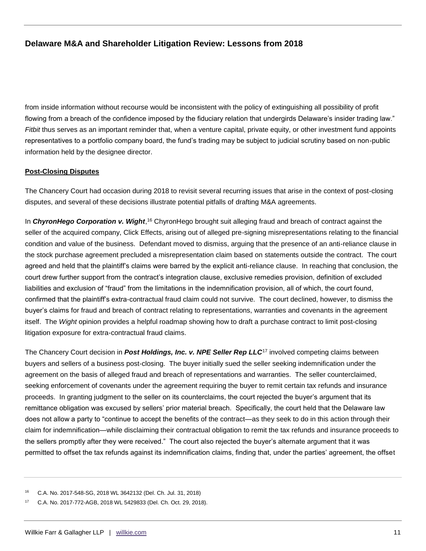from inside information without recourse would be inconsistent with the policy of extinguishing all possibility of profit flowing from a breach of the confidence imposed by the fiduciary relation that undergirds Delaware's insider trading law." *Fitbit* thus serves as an important reminder that, when a venture capital, private equity, or other investment fund appoints representatives to a portfolio company board, the fund's trading may be subject to judicial scrutiny based on non-public information held by the designee director.

## **Post-Closing Disputes**

The Chancery Court had occasion during 2018 to revisit several recurring issues that arise in the context of post-closing disputes, and several of these decisions illustrate potential pitfalls of drafting M&A agreements.

In ChyronHego Corporation v. Wight,<sup>16</sup> ChyronHego brought suit alleging fraud and breach of contract against the seller of the acquired company, Click Effects, arising out of alleged pre-signing misrepresentations relating to the financial condition and value of the business. Defendant moved to dismiss, arguing that the presence of an anti-reliance clause in the stock purchase agreement precluded a misrepresentation claim based on statements outside the contract. The court agreed and held that the plaintiff's claims were barred by the explicit anti-reliance clause. In reaching that conclusion, the court drew further support from the contract's integration clause, exclusive remedies provision, definition of excluded liabilities and exclusion of "fraud" from the limitations in the indemnification provision, all of which, the court found, confirmed that the plaintiff's extra-contractual fraud claim could not survive. The court declined, however, to dismiss the buyer's claims for fraud and breach of contract relating to representations, warranties and covenants in the agreement itself. The *Wight* opinion provides a helpful roadmap showing how to draft a purchase contract to limit post-closing litigation exposure for extra-contractual fraud claims.

The Chancery Court decision in *Post Holdings, Inc. v. NPE Seller Rep LLC*<sup>17</sup> involved competing claims between buyers and sellers of a business post-closing. The buyer initially sued the seller seeking indemnification under the agreement on the basis of alleged fraud and breach of representations and warranties. The seller counterclaimed, seeking enforcement of covenants under the agreement requiring the buyer to remit certain tax refunds and insurance proceeds. In granting judgment to the seller on its counterclaims, the court rejected the buyer's argument that its remittance obligation was excused by sellers' prior material breach. Specifically, the court held that the Delaware law does not allow a party to "continue to accept the benefits of the contract—as they seek to do in this action through their claim for indemnification—while disclaiming their contractual obligation to remit the tax refunds and insurance proceeds to the sellers promptly after they were received." The court also rejected the buyer's alternate argument that it was permitted to offset the tax refunds against its indemnification claims, finding that, under the parties' agreement, the offset

<sup>16</sup> C.A. No. 2017-548-SG, 2018 WL 3642132 (Del. Ch. Jul. 31, 2018)

<sup>17</sup> C.A. No. 2017-772-AGB, 2018 WL 5429833 (Del. Ch. Oct. 29, 2018).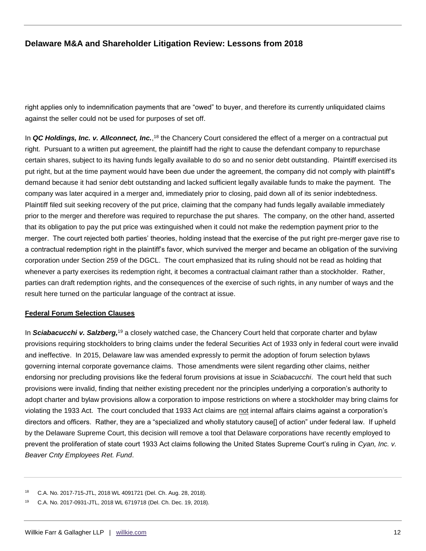right applies only to indemnification payments that are "owed" to buyer, and therefore its currently unliquidated claims against the seller could not be used for purposes of set off.

In *QC Holdings, Inc. v. Allconnect, Inc.*,<sup>18</sup> the Chancery Court considered the effect of a merger on a contractual put right. Pursuant to a written put agreement, the plaintiff had the right to cause the defendant company to repurchase certain shares, subject to its having funds legally available to do so and no senior debt outstanding. Plaintiff exercised its put right, but at the time payment would have been due under the agreement, the company did not comply with plaintiff's demand because it had senior debt outstanding and lacked sufficient legally available funds to make the payment. The company was later acquired in a merger and, immediately prior to closing, paid down all of its senior indebtedness. Plaintiff filed suit seeking recovery of the put price, claiming that the company had funds legally available immediately prior to the merger and therefore was required to repurchase the put shares. The company, on the other hand, asserted that its obligation to pay the put price was extinguished when it could not make the redemption payment prior to the merger. The court rejected both parties' theories, holding instead that the exercise of the put right pre-merger gave rise to a contractual redemption right in the plaintiff's favor, which survived the merger and became an obligation of the surviving corporation under Section 259 of the DGCL. The court emphasized that its ruling should not be read as holding that whenever a party exercises its redemption right, it becomes a contractual claimant rather than a stockholder. Rather, parties can draft redemption rights, and the consequences of the exercise of such rights, in any number of ways and the result here turned on the particular language of the contract at issue.

#### **Federal Forum Selection Clauses**

In *Sciabacucchi v. Salzberg,*<sup>19</sup> a closely watched case, the Chancery Court held that corporate charter and bylaw provisions requiring stockholders to bring claims under the federal Securities Act of 1933 only in federal court were invalid and ineffective. In 2015, Delaware law was amended expressly to permit the adoption of forum selection bylaws governing internal corporate governance claims. Those amendments were silent regarding other claims, neither endorsing nor precluding provisions like the federal forum provisions at issue in *Sciabacucchi*. The court held that such provisions were invalid, finding that neither existing precedent nor the principles underlying a corporation's authority to adopt charter and bylaw provisions allow a corporation to impose restrictions on where a stockholder may bring claims for violating the 1933 Act. The court concluded that 1933 Act claims are not internal affairs claims against a corporation's directors and officers. Rather, they are a "specialized and wholly statutory cause[] of action" under federal law. If upheld by the Delaware Supreme Court, this decision will remove a tool that Delaware corporations have recently employed to prevent the proliferation of state court 1933 Act claims following the United States Supreme Court's ruling in *Cyan, Inc. v. Beaver Cnty Employees Ret. Fund*.

<sup>18</sup> C.A. No. 2017-715-JTL, 2018 WL 4091721 (Del. Ch. Aug. 28, 2018).

<sup>19</sup> C.A. No. 2017-0931-JTL, 2018 WL 6719718 (Del. Ch. Dec. 19, 2018).